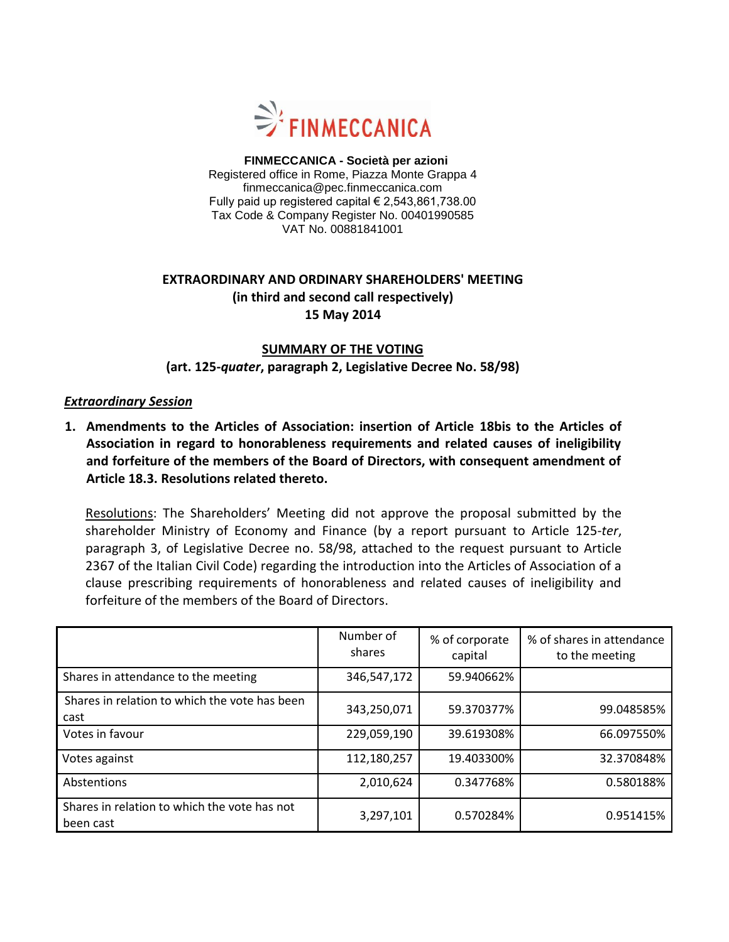

 **FINMECCANICA - Società per azioni** Registered office in Rome, Piazza Monte Grappa 4 finmeccanica@pec.finmeccanica.com Fully paid up registered capital  $\in$  2,543,861,738.00 Tax Code & Company Register No. 00401990585 VAT No. 00881841001

## **EXTRAORDINARY AND ORDINARY SHAREHOLDERS' MEETING (in third and second call respectively) 15 May 2014**

### **SUMMARY OF THE VOTING (art. 125-***quater***, paragraph 2, Legislative Decree No. 58/98)**

#### *Extraordinary Session*

**1. Amendments to the Articles of Association: insertion of Article 18bis to the Articles of Association in regard to honorableness requirements and related causes of ineligibility and forfeiture of the members of the Board of Directors, with consequent amendment of Article 18.3. Resolutions related thereto.**

Resolutions: The Shareholders' Meeting did not approve the proposal submitted by the shareholder Ministry of Economy and Finance (by a report pursuant to Article 125-*ter*, paragraph 3, of Legislative Decree no. 58/98, attached to the request pursuant to Article 2367 of the Italian Civil Code) regarding the introduction into the Articles of Association of a clause prescribing requirements of honorableness and related causes of ineligibility and forfeiture of the members of the Board of Directors.

|                                                           | Number of<br>shares | % of corporate<br>capital | % of shares in attendance<br>to the meeting |
|-----------------------------------------------------------|---------------------|---------------------------|---------------------------------------------|
| Shares in attendance to the meeting                       | 346,547,172         | 59.940662%                |                                             |
| Shares in relation to which the vote has been<br>cast     | 343,250,071         | 59.370377%                | 99.048585%                                  |
| Votes in favour                                           | 229,059,190         | 39.619308%                | 66.097550%                                  |
| Votes against                                             | 112,180,257         | 19.403300%                | 32.370848%                                  |
| Abstentions                                               | 2,010,624           | 0.347768%                 | 0.580188%                                   |
| Shares in relation to which the vote has not<br>been cast | 3,297,101           | 0.570284%                 | 0.951415%                                   |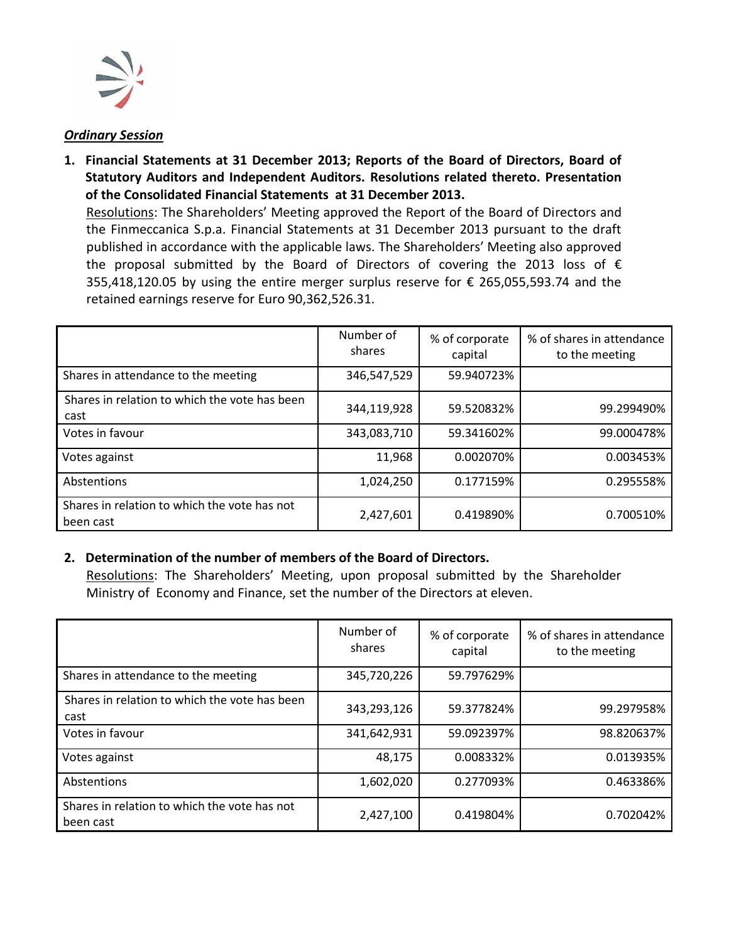

#### *Ordinary Session*

**1. Financial Statements at 31 December 2013; Reports of the Board of Directors, Board of Statutory Auditors and Independent Auditors. Resolutions related thereto. Presentation of the Consolidated Financial Statements at 31 December 2013.** Resolutions: The Shareholders' Meeting approved the Report of the Board of Directors and the Finmeccanica S.p.a. Financial Statements at 31 December 2013 pursuant to the draft published in accordance with the applicable laws. The Shareholders' Meeting also approved

the proposal submitted by the Board of Directors of covering the 2013 loss of  $\epsilon$ 355,418,120.05 by using the entire merger surplus reserve for € 265,055,593.74 and the retained earnings reserve for Euro 90,362,526.31.

|                                                           | Number of<br>shares | % of corporate<br>capital | % of shares in attendance<br>to the meeting |
|-----------------------------------------------------------|---------------------|---------------------------|---------------------------------------------|
| Shares in attendance to the meeting                       | 346,547,529         | 59.940723%                |                                             |
| Shares in relation to which the vote has been<br>cast     | 344,119,928         | 59.520832%                | 99.299490%                                  |
| Votes in favour                                           | 343,083,710         | 59.341602%                | 99.000478%                                  |
| Votes against                                             | 11,968              | 0.002070%                 | 0.003453%                                   |
| Abstentions                                               | 1,024,250           | 0.177159%                 | 0.295558%                                   |
| Shares in relation to which the vote has not<br>been cast | 2,427,601           | 0.419890%                 | 0.700510%                                   |

#### **2. Determination of the number of members of the Board of Directors.**

Resolutions: The Shareholders' Meeting, upon proposal submitted by the Shareholder Ministry of Economy and Finance, set the number of the Directors at eleven.

|                                                           | Number of<br>shares | % of corporate<br>capital | % of shares in attendance<br>to the meeting |
|-----------------------------------------------------------|---------------------|---------------------------|---------------------------------------------|
| Shares in attendance to the meeting                       | 345,720,226         | 59.797629%                |                                             |
| Shares in relation to which the vote has been<br>cast     | 343,293,126         | 59.377824%                | 99.297958%                                  |
| Votes in favour                                           | 341,642,931         | 59.092397%                | 98.820637%                                  |
| Votes against                                             | 48,175              | 0.008332%                 | 0.013935%                                   |
| Abstentions                                               | 1,602,020           | 0.277093%                 | 0.463386%                                   |
| Shares in relation to which the vote has not<br>been cast | 2,427,100           | 0.419804%                 | 0.702042%                                   |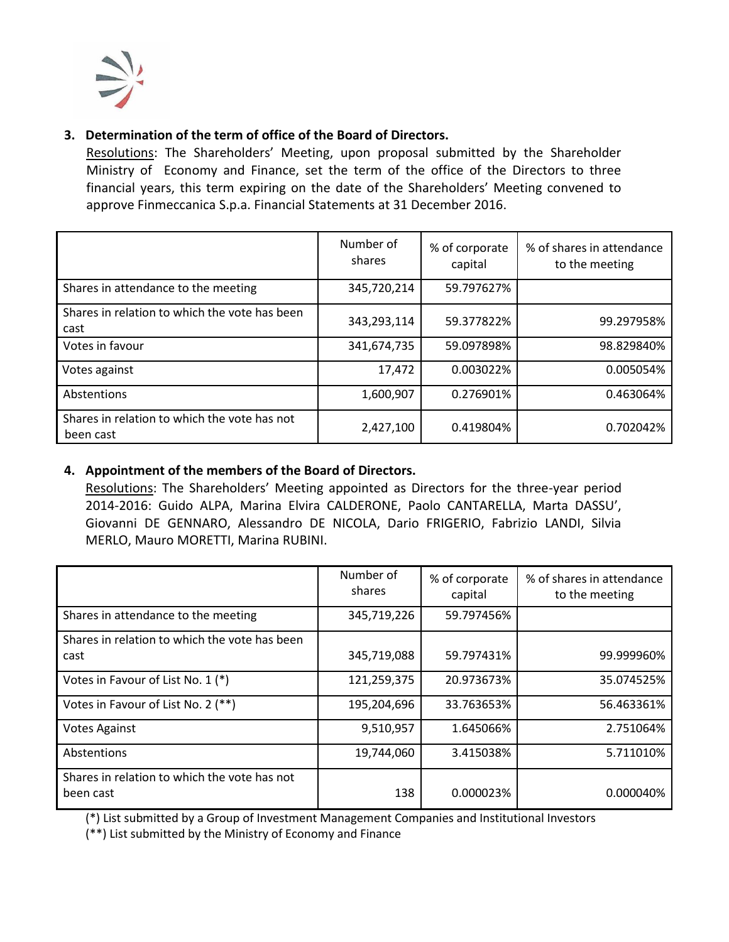

# **3. Determination of the term of office of the Board of Directors.**

Resolutions: The Shareholders' Meeting, upon proposal submitted by the Shareholder Ministry of Economy and Finance, set the term of the office of the Directors to three financial years, this term expiring on the date of the Shareholders' Meeting convened to approve Finmeccanica S.p.a. Financial Statements at 31 December 2016.

|                                                           | Number of<br>shares | % of corporate<br>capital | % of shares in attendance<br>to the meeting |
|-----------------------------------------------------------|---------------------|---------------------------|---------------------------------------------|
| Shares in attendance to the meeting                       | 345,720,214         | 59.797627%                |                                             |
| Shares in relation to which the vote has been<br>cast     | 343,293,114         | 59.377822%                | 99.297958%                                  |
| Votes in favour                                           | 341,674,735         | 59.097898%                | 98.829840%                                  |
| Votes against                                             | 17,472              | 0.003022%                 | 0.005054%                                   |
| Abstentions                                               | 1,600,907           | 0.276901%                 | 0.463064%                                   |
| Shares in relation to which the vote has not<br>been cast | 2,427,100           | 0.419804%                 | 0.702042%                                   |

# **4. Appointment of the members of the Board of Directors.**

Resolutions: The Shareholders' Meeting appointed as Directors for the three-year period 2014-2016: Guido ALPA, Marina Elvira CALDERONE, Paolo CANTARELLA, Marta DASSU', Giovanni DE GENNARO, Alessandro DE NICOLA, Dario FRIGERIO, Fabrizio LANDI, Silvia MERLO, Mauro MORETTI, Marina RUBINI.

|                                                           | Number of<br>shares | % of corporate<br>capital | % of shares in attendance<br>to the meeting |
|-----------------------------------------------------------|---------------------|---------------------------|---------------------------------------------|
| Shares in attendance to the meeting                       | 345,719,226         | 59.797456%                |                                             |
| Shares in relation to which the vote has been<br>cast     | 345,719,088         | 59.797431%                | 99.999960%                                  |
| Votes in Favour of List No. 1 (*)                         | 121,259,375         | 20.973673%                | 35.074525%                                  |
| Votes in Favour of List No. 2 (**)                        | 195,204,696         | 33.763653%                | 56.463361%                                  |
| <b>Votes Against</b>                                      | 9,510,957           | 1.645066%                 | 2.751064%                                   |
| Abstentions                                               | 19,744,060          | 3.415038%                 | 5.711010%                                   |
| Shares in relation to which the vote has not<br>been cast | 138                 | 0.000023%                 | 0.000040%                                   |

(\*) List submitted by a Group of Investment Management Companies and Institutional Investors

(\*\*) List submitted by the Ministry of Economy and Finance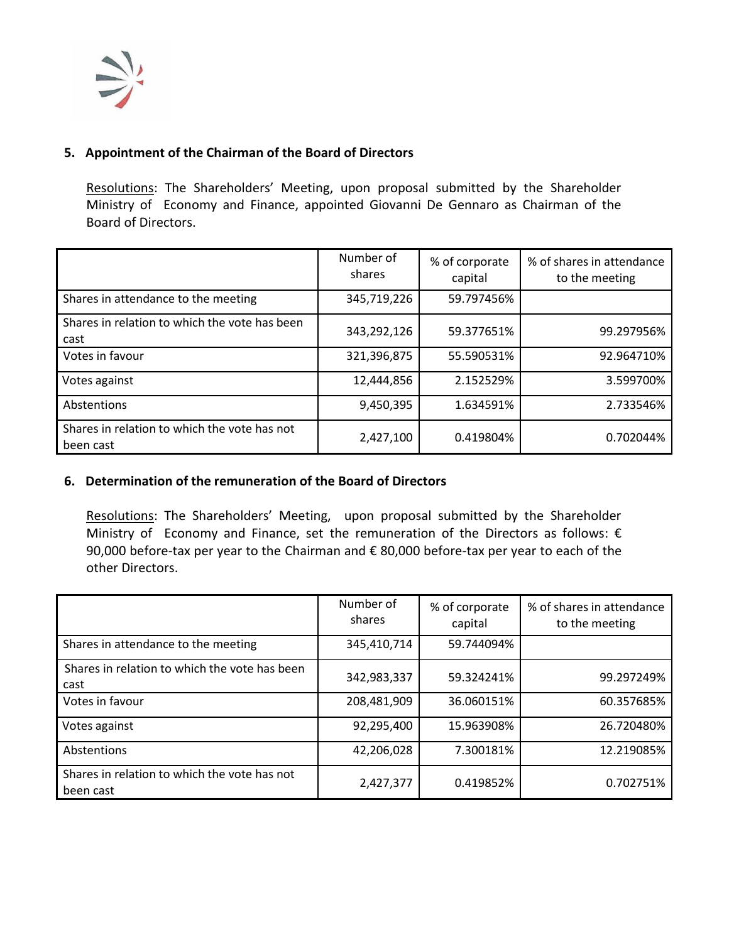

### **5. Appointment of the Chairman of the Board of Directors**

Resolutions: The Shareholders' Meeting, upon proposal submitted by the Shareholder Ministry of Economy and Finance, appointed Giovanni De Gennaro as Chairman of the Board of Directors.

|                                                           | Number of<br>shares | % of corporate<br>capital | % of shares in attendance<br>to the meeting |
|-----------------------------------------------------------|---------------------|---------------------------|---------------------------------------------|
| Shares in attendance to the meeting                       | 345,719,226         | 59.797456%                |                                             |
| Shares in relation to which the vote has been<br>cast     | 343,292,126         | 59.377651%                | 99.297956%                                  |
| Votes in favour                                           | 321,396,875         | 55.590531%                | 92.964710%                                  |
| Votes against                                             | 12,444,856          | 2.152529%                 | 3.599700%                                   |
| Abstentions                                               | 9,450,395           | 1.634591%                 | 2.733546%                                   |
| Shares in relation to which the vote has not<br>been cast | 2,427,100           | 0.419804%                 | 0.702044%                                   |

#### **6. Determination of the remuneration of the Board of Directors**

Resolutions: The Shareholders' Meeting, upon proposal submitted by the Shareholder Ministry of Economy and Finance, set the remuneration of the Directors as follows:  $\epsilon$ 90,000 before-tax per year to the Chairman and € 80,000 before-tax per year to each of the other Directors.

|                                                           | Number of<br>shares | % of corporate<br>capital | % of shares in attendance<br>to the meeting |
|-----------------------------------------------------------|---------------------|---------------------------|---------------------------------------------|
| Shares in attendance to the meeting                       | 345,410,714         | 59.744094%                |                                             |
| Shares in relation to which the vote has been<br>cast     | 342,983,337         | 59.324241%                | 99.297249%                                  |
| Votes in favour                                           | 208,481,909         | 36.060151%                | 60.357685%                                  |
| Votes against                                             | 92,295,400          | 15.963908%                | 26.720480%                                  |
| Abstentions                                               | 42,206,028          | 7.300181%                 | 12.219085%                                  |
| Shares in relation to which the vote has not<br>been cast | 2,427,377           | 0.419852%                 | 0.702751%                                   |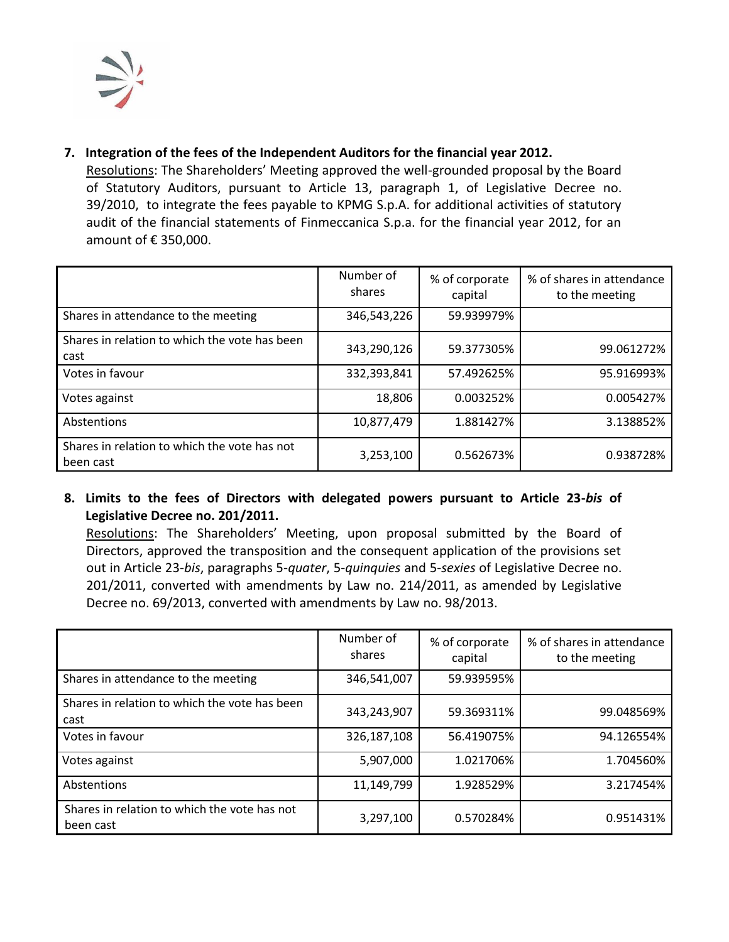

# **7. Integration of the fees of the Independent Auditors for the financial year 2012.**

Resolutions: The Shareholders' Meeting approved the well-grounded proposal by the Board of Statutory Auditors, pursuant to Article 13, paragraph 1, of Legislative Decree no. 39/2010, to integrate the fees payable to KPMG S.p.A. for additional activities of statutory audit of the financial statements of Finmeccanica S.p.a. for the financial year 2012, for an amount of € 350,000.

|                                                           | Number of<br>shares | % of corporate<br>capital | % of shares in attendance<br>to the meeting |
|-----------------------------------------------------------|---------------------|---------------------------|---------------------------------------------|
| Shares in attendance to the meeting                       | 346,543,226         | 59.939979%                |                                             |
| Shares in relation to which the vote has been<br>cast     | 343,290,126         | 59.377305%                | 99.061272%                                  |
| Votes in favour                                           | 332,393,841         | 57.492625%                | 95.916993%                                  |
| Votes against                                             | 18,806              | 0.003252%                 | 0.005427%                                   |
| Abstentions                                               | 10,877,479          | 1.881427%                 | 3.138852%                                   |
| Shares in relation to which the vote has not<br>been cast | 3,253,100           | 0.562673%                 | 0.938728%                                   |

**8. Limits to the fees of Directors with delegated powers pursuant to Article 23-***bis* **of Legislative Decree no. 201/2011.**

Resolutions: The Shareholders' Meeting, upon proposal submitted by the Board of Directors, approved the transposition and the consequent application of the provisions set out in Article 23-*bis*, paragraphs 5-*quater*, 5-*quinquies* and 5-*sexies* of Legislative Decree no. 201/2011, converted with amendments by Law no. 214/2011, as amended by Legislative Decree no. 69/2013, converted with amendments by Law no. 98/2013.

|                                                           | Number of<br>shares | % of corporate<br>capital | % of shares in attendance<br>to the meeting |
|-----------------------------------------------------------|---------------------|---------------------------|---------------------------------------------|
| Shares in attendance to the meeting                       | 346,541,007         | 59.939595%                |                                             |
| Shares in relation to which the vote has been<br>cast     | 343,243,907         | 59.369311%                | 99.048569%                                  |
| Votes in favour                                           | 326,187,108         | 56.419075%                | 94.126554%                                  |
| Votes against                                             | 5,907,000           | 1.021706%                 | 1.704560%                                   |
| Abstentions                                               | 11,149,799          | 1.928529%                 | 3.217454%                                   |
| Shares in relation to which the vote has not<br>been cast | 3,297,100           | 0.570284%                 | 0.951431%                                   |